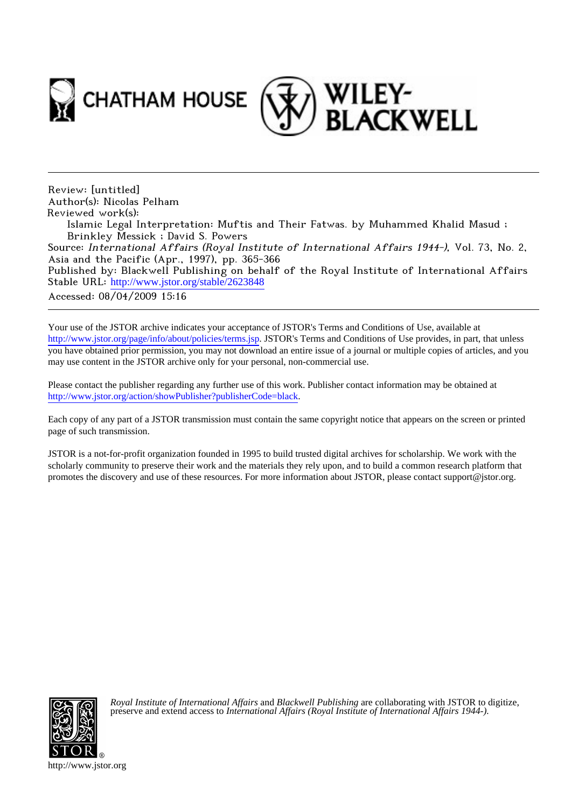



Review: [untitled] Author(s): Nicolas Pelham Reviewed work(s): Islamic Legal Interpretation: Muftis and Their Fatwas. by Muhammed Khalid Masud ; Brinkley Messick ; David S. Powers Source: International Affairs (Royal Institute of International Affairs 1944-), Vol. 73, No. 2, Asia and the Pacific (Apr., 1997), pp. 365-366 Published by: Blackwell Publishing on behalf of the Royal Institute of International Affairs Stable URL: [http://www.jstor.org/stable/2623848](http://www.jstor.org/stable/2623848?origin=JSTOR-pdf) Accessed: 08/04/2009 15:16

Your use of the JSTOR archive indicates your acceptance of JSTOR's Terms and Conditions of Use, available at <http://www.jstor.org/page/info/about/policies/terms.jsp>. JSTOR's Terms and Conditions of Use provides, in part, that unless you have obtained prior permission, you may not download an entire issue of a journal or multiple copies of articles, and you may use content in the JSTOR archive only for your personal, non-commercial use.

Please contact the publisher regarding any further use of this work. Publisher contact information may be obtained at [http://www.jstor.org/action/showPublisher?publisherCode=black.](http://www.jstor.org/action/showPublisher?publisherCode=black)

Each copy of any part of a JSTOR transmission must contain the same copyright notice that appears on the screen or printed page of such transmission.

JSTOR is a not-for-profit organization founded in 1995 to build trusted digital archives for scholarship. We work with the scholarly community to preserve their work and the materials they rely upon, and to build a common research platform that promotes the discovery and use of these resources. For more information about JSTOR, please contact support@jstor.org.



*Royal Institute of International Affairs* and *Blackwell Publishing* are collaborating with JSTOR to digitize, preserve and extend access to *International Affairs (Royal Institute of International Affairs 1944-).*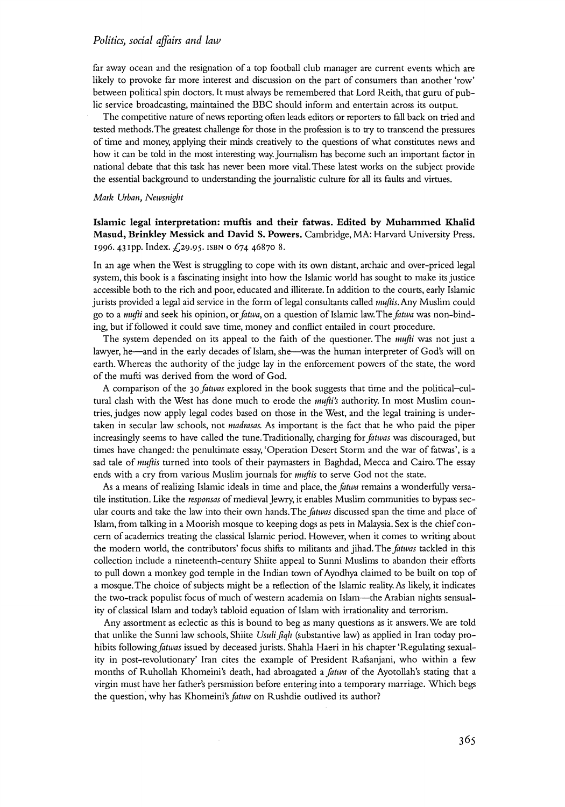## Politics, social affairs and law

far away ocean and the resignation of a top football club manager are current events which are likely to provoke far more interest and discussion on the part of consumers than another 'row' between political spin doctors. It must always be remembered that Lord Reith, that guru of public service broadcasting, maintained the BBC should inform and entertain across its output.

The competitive nature of news reporting often leads editors or reporters to fall back on tried and tested methods. The greatest challenge for those in the profession is to try to transcend the pressures of time and money, applying their minds creatively to the questions of what constitutes news and how it can be told in the most interesting way. Journalism has become such an important factor in national debate that this task has never been more vital. These latest works on the subject provide the essential background to understanding the journalistic culture for all its faults and virtues.

## Mark Urban, Newsnight

Islamic legal interpretation: muftis and their fatwas. Edited by Muhammed Khalid Masud, Brinkley Messick and David S. Powers. Cambridge, MA: Harvard University Press. 1996. 43 Ipp. Index. £29.95. ISBN 0 674 46870 8.

In an age when the West is struggling to cope with its own distant, archaic and over-priced legal system, this book is a fascinating insight into how the Islamic world has sought to make its justice accessible both to the rich and poor, educated and illiterate. In addition to the courts, early Islamic jurists provided a legal aid service in the form of legal consultants called *muftis*. Any Muslim could go to a *mufti* and seek his opinion, or *fatwa*, on a question of Islamic law. The *fatwa* was non-binding, but if followed it could save time, money and conflict entailed in court procedure.

The system depended on its appeal to the faith of the questioner. The *mufti* was not just a lawyer, he—and in the early decades of Islam, she—was the human interpreter of God's will on earth. Whereas the authority of the judge lay in the enforcement powers of the state, the word of the mufti was derived from the word of God.

A comparison of the 30 fatwas explored in the book suggests that time and the political-cultural clash with the West has done much to erode the *mufti's* authority. In most Muslim countries, judges now apply legal codes based on those in the West, and the legal training is undertaken in secular law schools, not madrasas. As important is the fact that he who paid the piper increasingly seems to have called the tune. Traditionally, charging for fatwas was discouraged, but times have changed: the penultimate essay, 'Operation Desert Storm and the war of fatwas', is a sad tale of muftis turned into tools of their paymasters in Baghdad, Mecca and Cairo. The essay ends with a cry from various Muslim journals for muftis to serve God not the state.

As a means of realizing Islamic ideals in time and place, the *fatwa* remains a wonderfully versatile institution. Like the responsas of medieval Jewry, it enables Muslim communities to bypass secular courts and take the law into their own hands. The *fatwas* discussed span the time and place of Islam, from talking in a Moorish mosque to keeping dogs as pets in Malaysia. Sex is the chief concern of academics treating the classical Islamic period. However, when it comes to writing about the modern world, the contributors' focus shifts to militants and jihad. The *fatwas* tackled in this collection include a nineteenth-century Shiite appeal to Sunni Muslims to abandon their efforts to pull down a monkey god temple in the Indian town of Ayodhya claimed to be built on top of a mosque. The choice of subjects might be a reflection of the Islamic reality. As likely, it indicates the two-track populist focus of much of western academia on Islam-the Arabian nights sensuality of classical Islam and today's tabloid equation of Islam with irrationality and terrorism.

Any assortment as eclectic as this is bound to beg as many questions as it answers. We are told that unlike the Sunni law schools, Shiite Usuli figh (substantive law) as applied in Iran today prohibits following fatwas issued by deceased jurists. Shahla Haeri in his chapter 'Regulating sexuality in post-revolutionary' Iran cites the example of President Rafsaniani, who within a few months of Ruhollah Khomeini's death, had abroagated a *fatwa* of the Ayotollah's stating that a virgin must have her father's persmission before entering into a temporary marriage. Which begs the question, why has Khomeini's *fatwa* on Rushdie outlived its author?